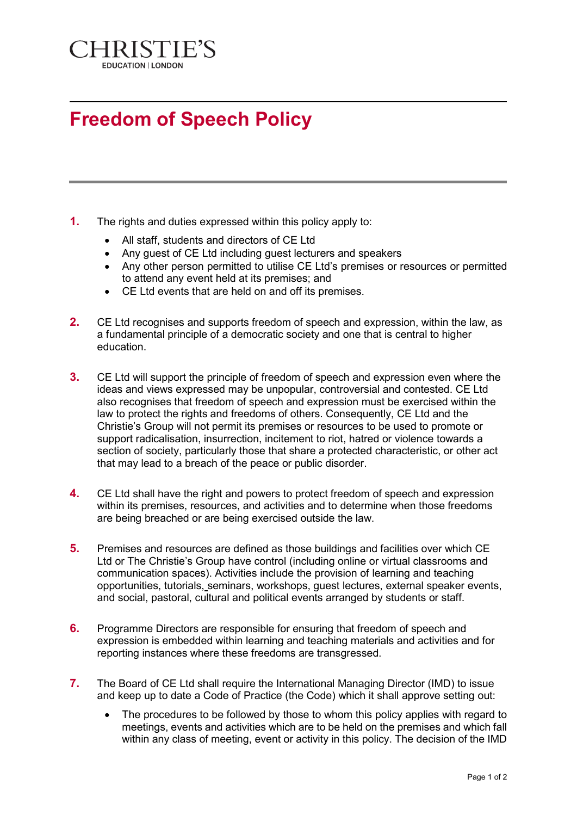

## **Freedom of Speech Policy**

- **1.** The rights and duties expressed within this policy apply to:
	- All staff, students and directors of CE Ltd
	- Any guest of CE Ltd including guest lecturers and speakers
	- Any other person permitted to utilise CE Ltd's premises or resources or permitted to attend any event held at its premises; and
	- CE Ltd events that are held on and off its premises.
- **2.** CE Ltd recognises and supports freedom of speech and expression, within the law, as a fundamental principle of a democratic society and one that is central to higher education.
- **3.** CE Ltd will support the principle of freedom of speech and expression even where the ideas and views expressed may be unpopular, controversial and contested. CE Ltd also recognises that freedom of speech and expression must be exercised within the law to protect the rights and freedoms of others. Consequently, CE Ltd and the Christie's Group will not permit its premises or resources to be used to promote or support radicalisation, insurrection, incitement to riot, hatred or violence towards a section of society, particularly those that share a protected characteristic, or other act that may lead to a breach of the peace or public disorder.
- **4.** CE Ltd shall have the right and powers to protect freedom of speech and expression within its premises, resources, and activities and to determine when those freedoms are being breached or are being exercised outside the law.
- **5.** Premises and resources are defined as those buildings and facilities over which CE Ltd or The Christie's Group have control (including online or virtual classrooms and communication spaces). Activities include the provision of learning and teaching opportunities, tutorials, seminars, workshops, guest lectures, external speaker events, and social, pastoral, cultural and political events arranged by students or staff.
- **6.** Programme Directors are responsible for ensuring that freedom of speech and expression is embedded within learning and teaching materials and activities and for reporting instances where these freedoms are transgressed.
- **7.** The Board of CE Ltd shall require the International Managing Director (IMD) to issue and keep up to date a Code of Practice (the Code) which it shall approve setting out:
	- The procedures to be followed by those to whom this policy applies with regard to meetings, events and activities which are to be held on the premises and which fall within any class of meeting, event or activity in this policy. The decision of the IMD